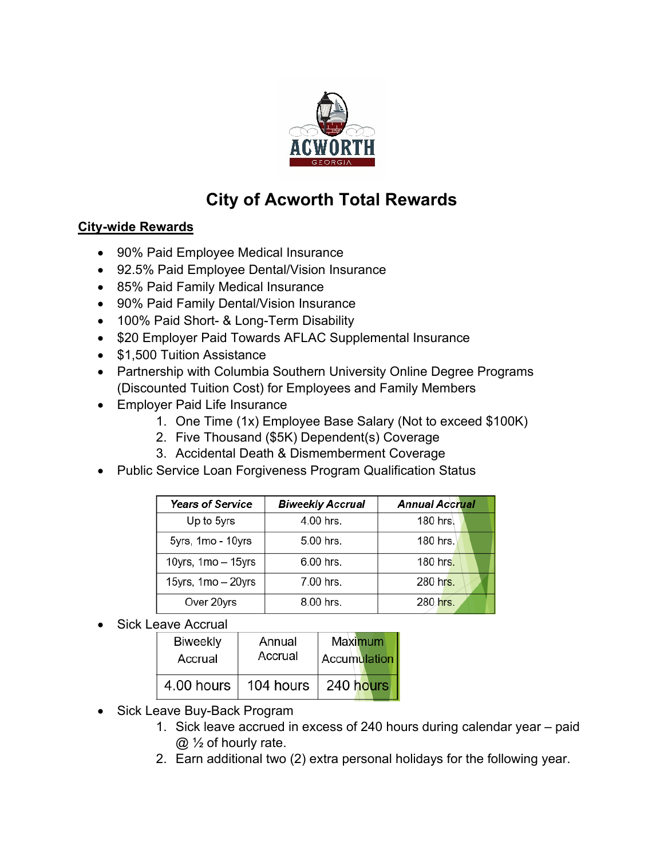

## **City of Acworth Total Rewards**

## **City-wide Rewards**

- 90% Paid Employee Medical Insurance
- 92.5% Paid Employee Dental/Vision Insurance
- 85% Paid Family Medical Insurance
- 90% Paid Family Dental/Vision Insurance
- 100% Paid Short- & Long-Term Disability
- \$20 Employer Paid Towards AFLAC Supplemental Insurance
- \$1,500 Tuition Assistance
- Partnership with Columbia Southern University Online Degree Programs (Discounted Tuition Cost) for Employees and Family Members
- Employer Paid Life Insurance
	- 1. One Time (1x) Employee Base Salary (Not to exceed \$100K)
	- 2. Five Thousand (\$5K) Dependent(s) Coverage
	- 3. Accidental Death & Dismemberment Coverage
- Public Service Loan Forgiveness Program Qualification Status

| <b>Years of Service</b> | <b>Biweekly Accrual</b> | <b>Annual Accrual</b> |
|-------------------------|-------------------------|-----------------------|
| Up to 5yrs              | 4.00 hrs.               | 180 hrs.              |
| 5yrs, 1mo - 10yrs       | 5.00 hrs.               | 180 hrs.              |
| 10yrs, $1mo - 15yrs$    | $6.00$ hrs.             | 180 hrs.              |
| 15yrs, 1mo - 20yrs      | 7.00 hrs.               | 280 hrs.              |
| Over 20yrs              | 8.00 hrs.               | 280 hrs.              |

• Sick Leave Accrual

| <b>Biweekly</b> | Annual    | <b>Maximum</b> |
|-----------------|-----------|----------------|
| Accrual         | Accrual   | Accumulation   |
| 4.00 hours      | 104 hours | 240 hours      |

- Sick Leave Buy-Back Program
	- 1. Sick leave accrued in excess of 240 hours during calendar year paid @ ½ of hourly rate.
	- 2. Earn additional two (2) extra personal holidays for the following year.